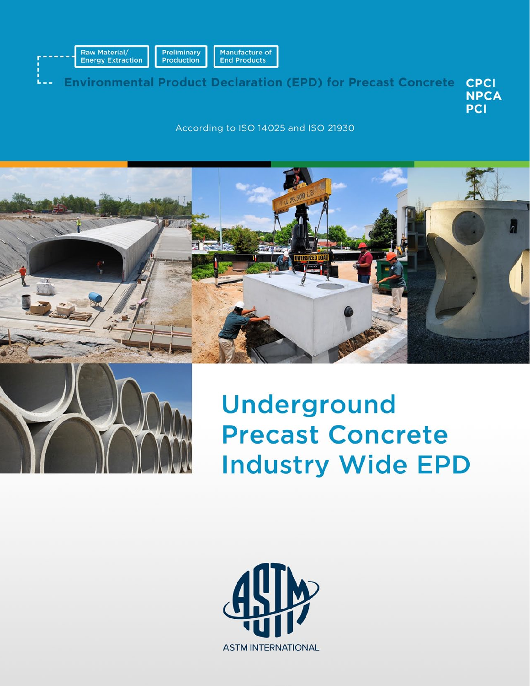

**Environmental Product Declaration (EPD) for Precast Concrete CPCI NPCA PCI** 

According to ISO 14025 and ISO 21930





Underground **Precast Concrete Industry Wide EPD** 

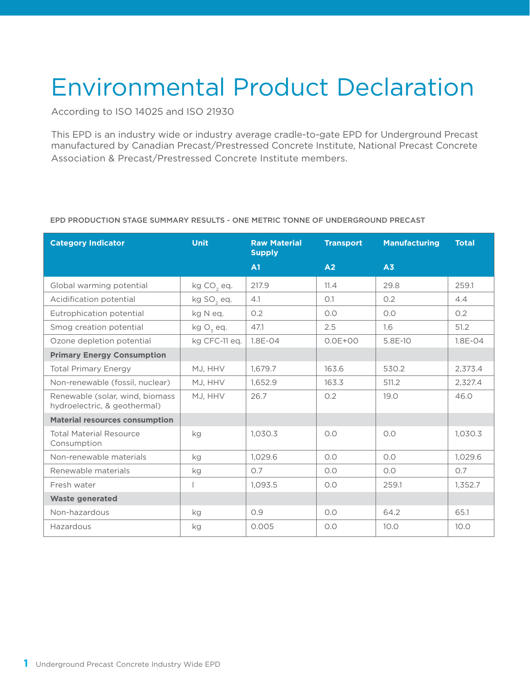# Environmental Product Declaration

According to ISO 14025 and ISO 21930

This EPD is an industry wide or industry average cradle-to-gate EPD for Underground Precast manufactured by Canadian Precast/Prestressed Concrete Institute, National Precast Concrete Association & Precast/Prestressed Concrete Institute members.

| <b>Category Indicator</b>                                       | <b>Unit</b>            | <b>Raw Material</b><br><b>Supply</b> | <b>Transport</b> | <b>Manufacturing</b> | <b>Total</b> |
|-----------------------------------------------------------------|------------------------|--------------------------------------|------------------|----------------------|--------------|
|                                                                 |                        | A1                                   | A2               | A3                   |              |
| Global warming potential                                        | kg CO <sub>2</sub> eq. | 217.9                                | 11.4             | 29.8                 | 259.1        |
| Acidification potential                                         | kg SO <sub>2</sub> eq. | 4.1                                  | O.1              | 0.2                  | 4.4          |
| Eutrophication potential                                        | kg N eq.               | 0.2                                  | O.O              | O.O                  | 0.2          |
| Smog creation potential                                         | kg $O_3$ eq.           | 47.1                                 | 2.5              | 1.6                  | 51.2         |
| Ozone depletion potential                                       | kg CFC-11 eq.          | $1.8E - 04$                          | $0.0E + 00$      | 5.8E-10              | $1.8E - 04$  |
| <b>Primary Energy Consumption</b>                               |                        |                                      |                  |                      |              |
| <b>Total Primary Energy</b>                                     | MJ, HHV                | 1,679.7                              | 163.6            | 530.2                | 2,373.4      |
| Non-renewable (fossil, nuclear)                                 | MJ. HHV                | 1,652.9                              | 163.3            | 511.2                | 2,327.4      |
| Renewable (solar, wind, biomass<br>hydroelectric, & geothermal) | MJ. HHV                | 26.7                                 | 0.2              | 19.0                 | 46.0         |
| <b>Material resources consumption</b>                           |                        |                                      |                  |                      |              |
| <b>Total Material Resource</b><br>Consumption                   | kg                     | 1,030.3                              | O.O              | O.O                  | 1,030.3      |
| Non-renewable materials                                         | kg                     | 1,029.6                              | 0.0              | O.O                  | 1,029.6      |
| Renewable materials                                             | kg                     | 0.7                                  | O.O              | O.O                  | O.7          |
| Fresh water                                                     |                        | 1,093.5                              | O.O              | 259.1                | 1,352.7      |
| <b>Waste generated</b>                                          |                        |                                      |                  |                      |              |
| Non-hazardous                                                   | kg                     | 0.9                                  | O.O              | 64.2                 | 65.1         |
| Hazardous                                                       | kg                     | 0.005                                | O.O              | 10.0                 | 10.0         |

#### EPD PRODUCTION STAGE SUMMARY RESULTS - ONE METRIC TONNE OF UNDERGROUND PRECAST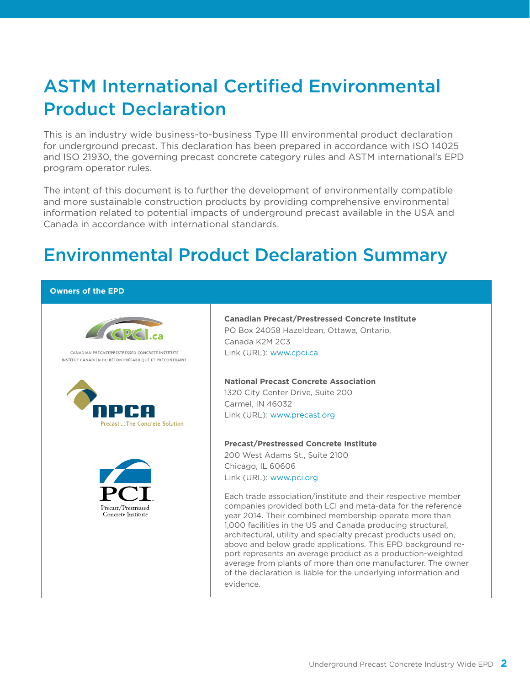# ASTM International Certified Environmental Product Declaration

This is an industry wide business-to-business Type III environmental product declaration for underground precast. This declaration has been prepared in accordance with ISO 14025 and ISO 21930, the governing precast concrete category rules and ASTM international's EPD program operator rules.

The intent of this document is to further the development of environmentally compatible and more sustainable construction products by providing comprehensive environmental information related to potential impacts of underground precast available in the USA and Canada in accordance with international standards.

# Environmental Product Declaration Summary

#### **Owners of the EPD**



### **Canadian Precast/Prestressed Concrete Institute** PO Box 24058 Hazeldean, Ottawa, Ontario, Canada K2M 2C3 Link (URL): www.cpci.ca

#### **National Precast Concrete Association**

1320 City Center Drive, Suite 200 Carmel, IN 46032 Link (URL): www.precast.org

#### **Precast/Prestressed Concrete Institute**

200 West Adams St., Suite 2100 Chicago, IL 60606 Link (URL): www.pci.org

Each trade association/institute and their respective member companies provided both LCI and meta-data for the reference year 2014. Their combined membership operate more than 1,000 facilities in the US and Canada producing structural, architectural, utility and specialty precast products used on, above and below grade applications. This EPD background report represents an average product as a production-weighted average from plants of more than one manufacturer. The owner of the declaration is liable for the underlying information and evidence.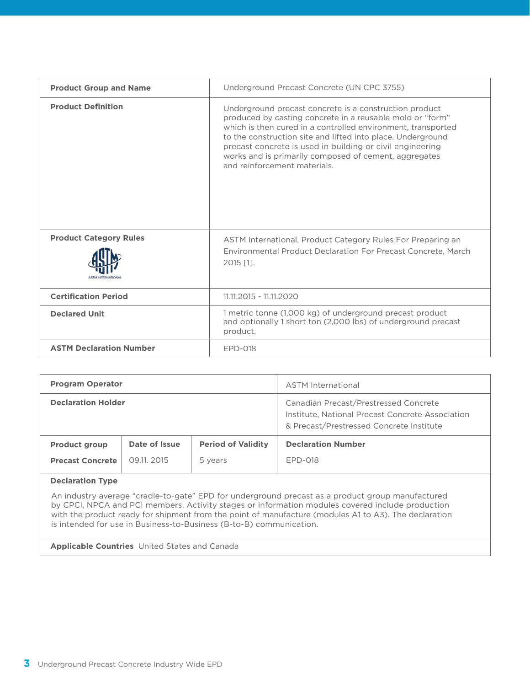| <b>Product Group and Name</b>  | Underground Precast Concrete (UN CPC 3755)                                                                                                                                                                                                                                                                                                                                                               |
|--------------------------------|----------------------------------------------------------------------------------------------------------------------------------------------------------------------------------------------------------------------------------------------------------------------------------------------------------------------------------------------------------------------------------------------------------|
| <b>Product Definition</b>      | Underground precast concrete is a construction product<br>produced by casting concrete in a reusable mold or "form"<br>which is then cured in a controlled environment, transported<br>to the construction site and lifted into place. Underground<br>precast concrete is used in building or civil engineering<br>works and is primarily composed of cement, aggregates<br>and reinforcement materials. |
| <b>Product Category Rules</b>  | ASTM International, Product Category Rules For Preparing an<br>Environmental Product Declaration For Precast Concrete, March<br>2015 [1].                                                                                                                                                                                                                                                                |
| <b>Certification Period</b>    | 11.11.2015 - 11.11.2020                                                                                                                                                                                                                                                                                                                                                                                  |
| <b>Declared Unit</b>           | 1 metric tonne (1,000 kg) of underground precast product<br>and optionally 1 short ton (2,000 lbs) of underground precast<br>product.                                                                                                                                                                                                                                                                    |
| <b>ASTM Declaration Number</b> | EPD-018                                                                                                                                                                                                                                                                                                                                                                                                  |

| <b>Program Operator</b>                         |                              |                                      | <b>ASTM</b> International                                                                                                             |  |
|-------------------------------------------------|------------------------------|--------------------------------------|---------------------------------------------------------------------------------------------------------------------------------------|--|
| <b>Declaration Holder</b>                       |                              |                                      | Canadian Precast/Prestressed Concrete<br>Institute, National Precast Concrete Association<br>& Precast/Prestressed Concrete Institute |  |
| <b>Product group</b><br><b>Precast Concrete</b> | Date of Issue<br>09.11, 2015 | <b>Period of Validity</b><br>5 years | <b>Declaration Number</b><br>FPD-018                                                                                                  |  |
|                                                 |                              |                                      |                                                                                                                                       |  |

#### **Declaration Type**

An industry average "cradle-to-gate" EPD for underground precast as a product group manufactured by CPCI, NPCA and PCI members. Activity stages or information modules covered include production with the product ready for shipment from the point of manufacture (modules A1 to A3). The declaration is intended for use in Business-to-Business (B-to-B) communication.

**Applicable Countries** United States and Canada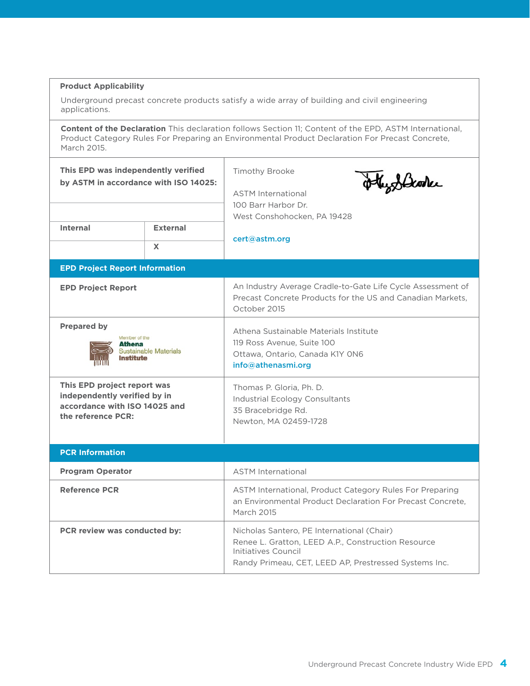### **Product Applicability**

Underground precast concrete products satisfy a wide array of building and civil engineering applications.

**Content of the Declaration** This declaration follows Section 11; Content of the EPD, ASTM International, Product Category Rules For Preparing an Environmental Product Declaration For Precast Concrete, March 2015.

| This EPD was independently verified<br>by ASTM in accordance with ISO 14025:                                       |                              | <b>Timothy Brooke</b><br>othyddiane<br><b>ASTM International</b><br>100 Barr Harbor Dr.<br>West Conshohocken, PA 19428                                                           |
|--------------------------------------------------------------------------------------------------------------------|------------------------------|----------------------------------------------------------------------------------------------------------------------------------------------------------------------------------|
| <b>Internal</b>                                                                                                    | <b>External</b><br>X         | cert@astm.org                                                                                                                                                                    |
| <b>EPD Project Report Information</b>                                                                              |                              |                                                                                                                                                                                  |
| <b>EPD Project Report</b>                                                                                          |                              | An Industry Average Cradle-to-Gate Life Cycle Assessment of<br>Precast Concrete Products for the US and Canadian Markets.<br>October 2015                                        |
| <b>Prepared by</b><br>Member of the<br><b>Athena</b><br>Institute                                                  | <b>Sustainable Materials</b> | Athena Sustainable Materials Institute<br>119 Ross Avenue, Suite 100<br>Ottawa, Ontario, Canada K1Y ON6<br>info@athenasmi.org                                                    |
| This EPD project report was<br>independently verified by in<br>accordance with ISO 14025 and<br>the reference PCR: |                              | Thomas P. Gloria, Ph. D.<br>Industrial Ecology Consultants<br>35 Bracebridge Rd.<br>Newton, MA 02459-1728                                                                        |
| <b>PCR Information</b>                                                                                             |                              |                                                                                                                                                                                  |
| <b>Program Operator</b>                                                                                            |                              | <b>ASTM International</b>                                                                                                                                                        |
| <b>Reference PCR</b>                                                                                               |                              | ASTM International, Product Category Rules For Preparing<br>an Environmental Product Declaration For Precast Concrete,<br>March 2015                                             |
| PCR review was conducted by:                                                                                       |                              | Nicholas Santero, PE International (Chair)<br>Renee L. Gratton, LEED A.P., Construction Resource<br>Initiatives Council<br>Randy Primeau, CET, LEED AP, Prestressed Systems Inc. |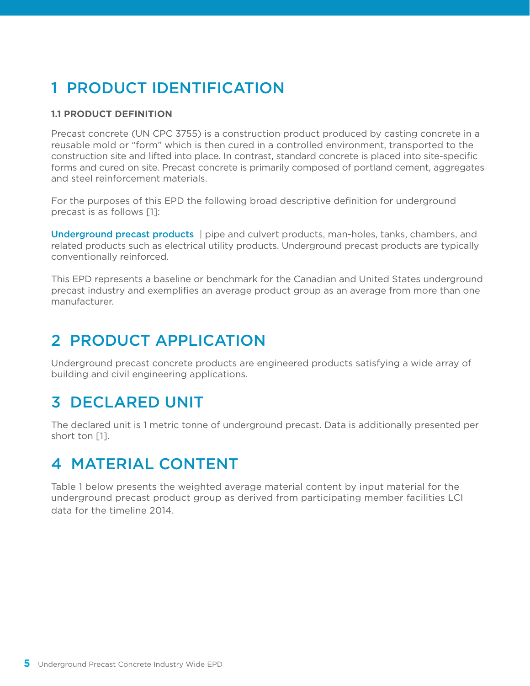# 1 PRODUCT IDENTIFICATION

### **1.1 PRODUCT DEFINITION**

Precast concrete (UN CPC 3755) is a construction product produced by casting concrete in a reusable mold or "form" which is then cured in a controlled environment, transported to the construction site and lifted into place. In contrast, standard concrete is placed into site-specific forms and cured on site. Precast concrete is primarily composed of portland cement, aggregates and steel reinforcement materials.

For the purposes of this EPD the following broad descriptive definition for underground precast is as follows [1]:

Underground precast products | pipe and culvert products, man-holes, tanks, chambers, and related products such as electrical utility products. Underground precast products are typically conventionally reinforced.

This EPD represents a baseline or benchmark for the Canadian and United States underground precast industry and exemplifies an average product group as an average from more than one manufacturer.

### 2 PRODUCT APPLICATION

Underground precast concrete products are engineered products satisfying a wide array of building and civil engineering applications.

# 3 DECLARED UNIT

The declared unit is 1 metric tonne of underground precast. Data is additionally presented per short ton [1].

### 4 MATERIAL CONTENT

Table 1 below presents the weighted average material content by input material for the underground precast product group as derived from participating member facilities LCI data for the timeline 2014.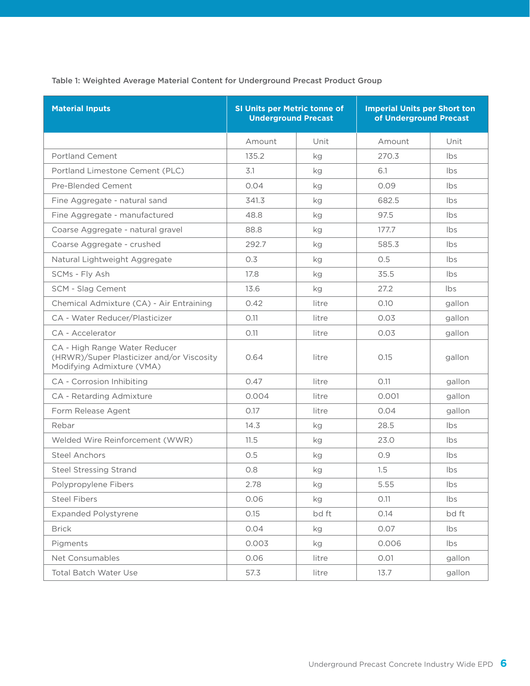Table 1: Weighted Average Material Content for Underground Precast Product Group

| <b>Material Inputs</b>                                                                                  | <b>SI Units per Metric tonne of</b><br><b>Underground Precast</b> |       | <b>Imperial Units per Short ton</b><br>of Underground Precast |        |
|---------------------------------------------------------------------------------------------------------|-------------------------------------------------------------------|-------|---------------------------------------------------------------|--------|
|                                                                                                         | Amount                                                            | Unit  | Amount                                                        | Unit   |
| <b>Portland Cement</b>                                                                                  | 135.2                                                             | kg    | 270.3                                                         | Ibs    |
| Portland Limestone Cement (PLC)                                                                         | 3.1                                                               | kg    | 6.1                                                           | Ibs    |
| Pre-Blended Cement                                                                                      | 0.04                                                              | kg    | 0.09                                                          | Ibs    |
| Fine Aggregate - natural sand                                                                           | 341.3                                                             | kg    | 682.5                                                         | Ibs    |
| Fine Aggregate - manufactured                                                                           | 48.8                                                              | kg    | 97.5                                                          | Ibs    |
| Coarse Aggregate - natural gravel                                                                       | 88.8                                                              | kg    | 177.7                                                         | Ibs    |
| Coarse Aggregate - crushed                                                                              | 292.7                                                             | kg    | 585.3                                                         | Ibs    |
| Natural Lightweight Aggregate                                                                           | 0.3                                                               | kg    | 0.5                                                           | Ibs    |
| SCMs - Fly Ash                                                                                          | 17.8                                                              | kg    | 35.5                                                          | Ibs    |
| SCM - Slag Cement                                                                                       | 13.6                                                              | kg    | 27.2                                                          | Ibs    |
| Chemical Admixture (CA) - Air Entraining                                                                | 0.42                                                              | litre | 0.10                                                          | gallon |
| CA - Water Reducer/Plasticizer                                                                          | O.11                                                              | litre | 0.03                                                          | gallon |
| CA - Accelerator                                                                                        | O.11                                                              | litre | 0.03                                                          | gallon |
| CA - High Range Water Reducer<br>(HRWR)/Super Plasticizer and/or Viscosity<br>Modifying Admixture (VMA) | 0.64                                                              | litre | 0.15                                                          | gallon |
| CA - Corrosion Inhibiting                                                                               | 0.47                                                              | litre | O.11                                                          | gallon |
| CA - Retarding Admixture                                                                                | 0.004                                                             | litre | 0.001                                                         | gallon |
| Form Release Agent                                                                                      | 0.17                                                              | litre | 0.04                                                          | gallon |
| Rebar                                                                                                   | 14.3                                                              | kg    | 28.5                                                          | Ibs    |
| Welded Wire Reinforcement (WWR)                                                                         | 11.5                                                              | kg    | 23.0                                                          | Ibs    |
| <b>Steel Anchors</b>                                                                                    | 0.5                                                               | kg    | O.9                                                           | Ibs    |
| <b>Steel Stressing Strand</b>                                                                           | 0.8                                                               | kg    | 1.5                                                           | Ibs    |
| Polypropylene Fibers                                                                                    | 2.78                                                              | kg    | 5.55                                                          | Ibs    |
| <b>Steel Fibers</b>                                                                                     | 0.06                                                              | kg    | 0.11                                                          | Ibs    |
| <b>Expanded Polystyrene</b>                                                                             | 0.15                                                              | bd ft | 0.14                                                          | bd ft  |
| <b>Brick</b>                                                                                            | 0.04                                                              | kg    | 0.07                                                          | Ibs    |
| Pigments                                                                                                | 0.003                                                             | kg    | 0.006                                                         | Ibs    |
| Net Consumables                                                                                         | 0.06                                                              | litre | O.O1                                                          | gallon |
| <b>Total Batch Water Use</b>                                                                            | 57.3                                                              | litre | 13.7                                                          | gallon |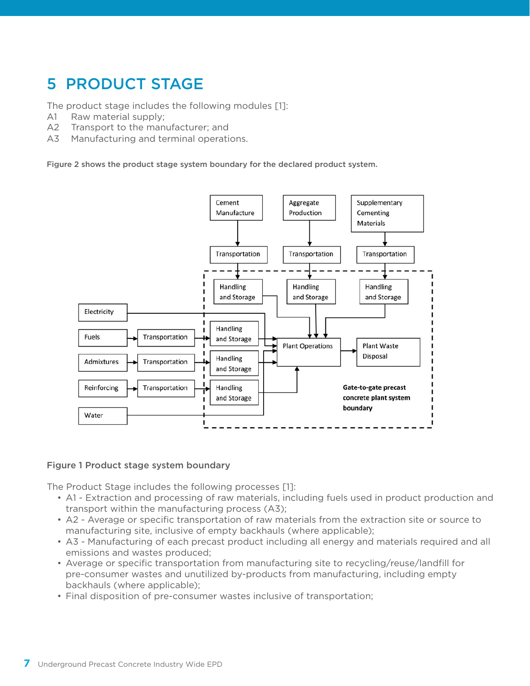# 5 PRODUCT STAGE

The product stage includes the following modules [1]:

- A1 Raw material supply;
- A2 Transport to the manufacturer; and
- A3 Manufacturing and terminal operations.

Figure 2 shows the product stage system boundary for the declared product system.



### Figure 1 Product stage system boundary

The Product Stage includes the following processes [1]:

- A1 Extraction and processing of raw materials, including fuels used in product production and transport within the manufacturing process (A3);
- • A2 Average or specific transportation of raw materials from the extraction site or source to manufacturing site, inclusive of empty backhauls (where applicable);
- • A3 Manufacturing of each precast product including all energy and materials required and all emissions and wastes produced;
- • Average or specific transportation from manufacturing site to recycling/reuse/landfill for pre-consumer wastes and unutilized by-products from manufacturing, including empty backhauls (where applicable);
- • Final disposition of pre-consumer wastes inclusive of transportation;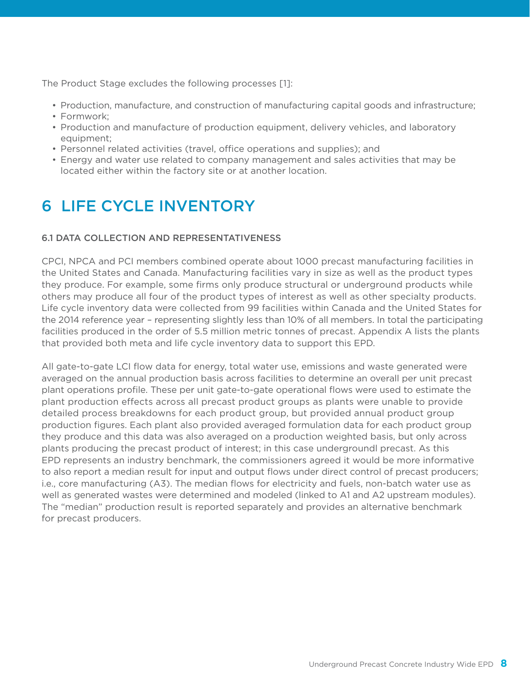The Product Stage excludes the following processes [1]:

- • Production, manufacture, and construction of manufacturing capital goods and infrastructure;
- Formwork:
- Production and manufacture of production equipment, delivery vehicles, and laboratory equipment;
- • Personnel related activities (travel, office operations and supplies); and
- Energy and water use related to company management and sales activities that may be located either within the factory site or at another location.

# 6 LIFE CYCLE INVENTORY

### 6.1 DATA COLLECTION AND REPRESENTATIVENESS

CPCI, NPCA and PCI members combined operate about 1000 precast manufacturing facilities in the United States and Canada. Manufacturing facilities vary in size as well as the product types they produce. For example, some firms only produce structural or underground products while others may produce all four of the product types of interest as well as other specialty products. Life cycle inventory data were collected from 99 facilities within Canada and the United States for the 2014 reference year – representing slightly less than 10% of all members. In total the participating facilities produced in the order of 5.5 million metric tonnes of precast. Appendix A lists the plants that provided both meta and life cycle inventory data to support this EPD.

All gate-to-gate LCI flow data for energy, total water use, emissions and waste generated were averaged on the annual production basis across facilities to determine an overall per unit precast plant operations profile. These per unit gate-to-gate operational flows were used to estimate the plant production effects across all precast product groups as plants were unable to provide detailed process breakdowns for each product group, but provided annual product group production figures. Each plant also provided averaged formulation data for each product group they produce and this data was also averaged on a production weighted basis, but only across plants producing the precast product of interest; in this case undergroundl precast. As this EPD represents an industry benchmark, the commissioners agreed it would be more informative to also report a median result for input and output flows under direct control of precast producers; i.e., core manufacturing (A3). The median flows for electricity and fuels, non-batch water use as well as generated wastes were determined and modeled (linked to A1 and A2 upstream modules). The "median" production result is reported separately and provides an alternative benchmark for precast producers.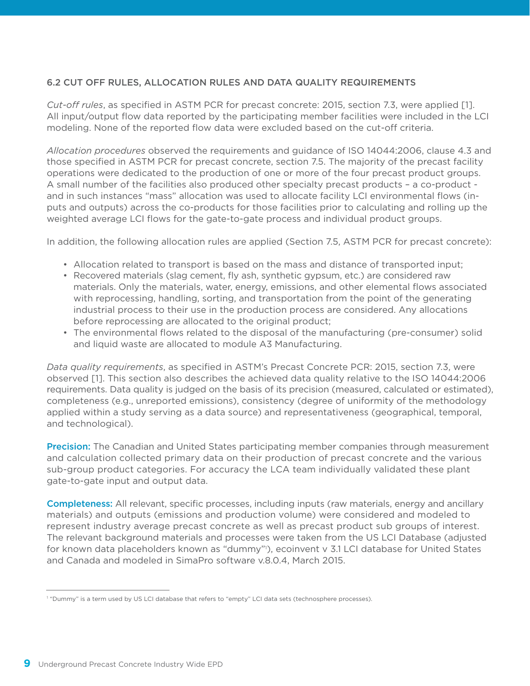### 6.2 CUT OFF RULES, ALLOCATION RULES AND DATA QUALITY REQUIREMENTS

*Cut-off rules*, as specified in ASTM PCR for precast concrete: 2015, section 7.3, were applied [1]. All input/output flow data reported by the participating member facilities were included in the LCI modeling. None of the reported flow data were excluded based on the cut-off criteria.

*Allocation procedures* observed the requirements and guidance of ISO 14044:2006, clause 4.3 and those specified in ASTM PCR for precast concrete, section 7.5. The majority of the precast facility operations were dedicated to the production of one or more of the four precast product groups. A small number of the facilities also produced other specialty precast products – a co-product and in such instances "mass" allocation was used to allocate facility LCI environmental flows (inputs and outputs) across the co-products for those facilities prior to calculating and rolling up the weighted average LCI flows for the gate-to-gate process and individual product groups.

In addition, the following allocation rules are applied (Section 7.5, ASTM PCR for precast concrete):

- Allocation related to transport is based on the mass and distance of transported input;
- Recovered materials (slag cement, fly ash, synthetic gypsum, etc.) are considered raw materials. Only the materials, water, energy, emissions, and other elemental flows associated with reprocessing, handling, sorting, and transportation from the point of the generating industrial process to their use in the production process are considered. Any allocations before reprocessing are allocated to the original product;
- • The environmental flows related to the disposal of the manufacturing (pre-consumer) solid and liquid waste are allocated to module A3 Manufacturing.

*Data quality requirements*, as specified in ASTM's Precast Concrete PCR: 2015, section 7.3, were observed [1]. This section also describes the achieved data quality relative to the ISO 14044:2006 requirements. Data quality is judged on the basis of its precision (measured, calculated or estimated), completeness (e.g., unreported emissions), consistency (degree of uniformity of the methodology applied within a study serving as a data source) and representativeness (geographical, temporal, and technological).

**Precision:** The Canadian and United States participating member companies through measurement and calculation collected primary data on their production of precast concrete and the various sub-group product categories. For accuracy the LCA team individually validated these plant gate-to-gate input and output data.

**Completeness:** All relevant, specific processes, including inputs (raw materials, energy and ancillary materials) and outputs (emissions and production volume) were considered and modeled to represent industry average precast concrete as well as precast product sub groups of interest. The relevant background materials and processes were taken from the US LCI Database (adjusted for known data placeholders known as "dummy"1 ), ecoinvent v 3.1 LCI database for United States and Canada and modeled in SimaPro software v.8.0.4, March 2015.

<sup>1</sup> "Dummy" is a term used by US LCI database that refers to "empty" LCI data sets (technosphere processes).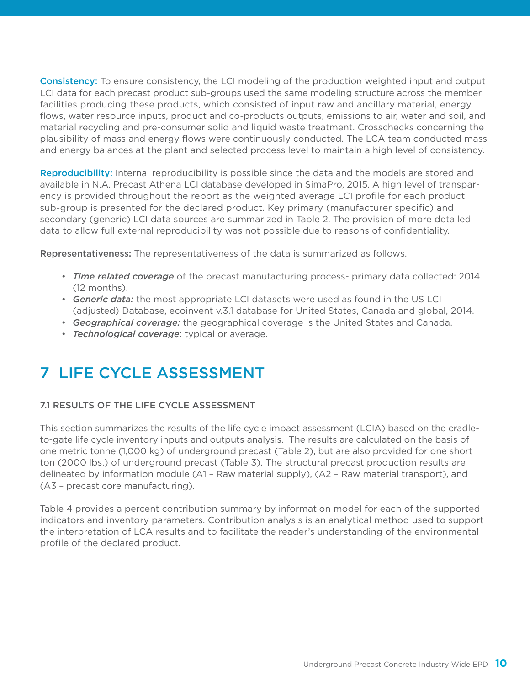Consistency: To ensure consistency, the LCI modeling of the production weighted input and output LCI data for each precast product sub-groups used the same modeling structure across the member facilities producing these products, which consisted of input raw and ancillary material, energy flows, water resource inputs, product and co-products outputs, emissions to air, water and soil, and material recycling and pre-consumer solid and liquid waste treatment. Crosschecks concerning the plausibility of mass and energy flows were continuously conducted. The LCA team conducted mass and energy balances at the plant and selected process level to maintain a high level of consistency.

Reproducibility: Internal reproducibility is possible since the data and the models are stored and available in N.A. Precast Athena LCI database developed in SimaPro, 2015. A high level of transparency is provided throughout the report as the weighted average LCI profile for each product sub-group is presented for the declared product. Key primary (manufacturer specific) and secondary (generic) LCI data sources are summarized in Table 2. The provision of more detailed data to allow full external reproducibility was not possible due to reasons of confidentiality.

Representativeness: The representativeness of the data is summarized as follows.

- • *Time related coverage* of the precast manufacturing process- primary data collected: 2014 (12 months).
- **Generic data:** the most appropriate LCI datasets were used as found in the US LCI (adjusted) Database, ecoinvent v.3.1 database for United States, Canada and global, 2014.
- • *Geographical coverage:* the geographical coverage is the United States and Canada.
- • *Technological coverage*: typical or average.

### 7 LIFE CYCLE ASSESSMENT

### 7.1 RESULTS OF THE LIFE CYCLE ASSESSMENT

This section summarizes the results of the life cycle impact assessment (LCIA) based on the cradleto-gate life cycle inventory inputs and outputs analysis. The results are calculated on the basis of one metric tonne (1,000 kg) of underground precast (Table 2), but are also provided for one short ton (2000 lbs.) of underground precast (Table 3). The structural precast production results are delineated by information module (A1 – Raw material supply), (A2 – Raw material transport), and (A3 – precast core manufacturing).

Table 4 provides a percent contribution summary by information model for each of the supported indicators and inventory parameters. Contribution analysis is an analytical method used to support the interpretation of LCA results and to facilitate the reader's understanding of the environmental profile of the declared product.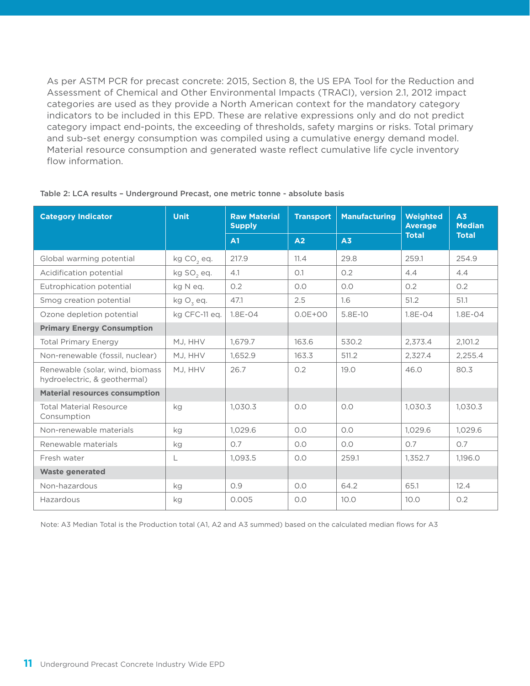As per ASTM PCR for precast concrete: 2015, Section 8, the US EPA Tool for the Reduction and Assessment of Chemical and Other Environmental Impacts (TRACI), version 2.1, 2012 impact categories are used as they provide a North American context for the mandatory category indicators to be included in this EPD. These are relative expressions only and do not predict category impact end-points, the exceeding of thresholds, safety margins or risks. Total primary and sub-set energy consumption was compiled using a cumulative energy demand model. Material resource consumption and generated waste reflect cumulative life cycle inventory flow information.

| <b>Category Indicator</b>                                       | <b>Unit</b>            | <b>Raw Material</b><br><b>Supply</b> | <b>Transport</b> | <b>Manufacturing</b> | Weighted<br><b>Average</b> | A3<br><b>Median</b> |
|-----------------------------------------------------------------|------------------------|--------------------------------------|------------------|----------------------|----------------------------|---------------------|
|                                                                 |                        | A1                                   | A <sub>2</sub>   | A <sub>3</sub>       | <b>Total</b>               | <b>Total</b>        |
| Global warming potential                                        | kg CO <sub>2</sub> eq. | 217.9                                | 11.4             | 29.8                 | 259.1                      | 254.9               |
| Acidification potential                                         | kg SO <sub>2</sub> eq. | 4.1                                  | O.1              | 0.2                  | 4.4                        | 4.4                 |
| Eutrophication potential                                        | kg N eq.               | O.2                                  | 0.0              | O.O                  | 0.2                        | 0.2                 |
| Smog creation potential                                         | kg $O_3$ eq.           | 47.1                                 | 2.5              | 1.6                  | 51.2                       | 51.1                |
| Ozone depletion potential                                       | kg CFC-11 eq.          | $1.8E - 04$                          | $0.0E + 00$      | 5.8E-10              | $1.8E - 04$                | $1.8E - 04$         |
| <b>Primary Energy Consumption</b>                               |                        |                                      |                  |                      |                            |                     |
| <b>Total Primary Energy</b>                                     | MJ, HHV                | 1,679.7                              | 163.6            | 530.2                | 2,373.4                    | 2,101.2             |
| Non-renewable (fossil, nuclear)                                 | MJ, HHV                | 1,652.9                              | 163.3            | 511.2                | 2,327.4                    | 2,255.4             |
| Renewable (solar, wind, biomass<br>hydroelectric, & geothermal) | MJ, HHV                | 26.7                                 | 0.2              | 19.0                 | 46.0                       | 80.3                |
| <b>Material resources consumption</b>                           |                        |                                      |                  |                      |                            |                     |
| <b>Total Material Resource</b><br>Consumption                   | kg                     | 1,030.3                              | O.O              | 0.0                  | 1,030.3                    | 1,030.3             |
| Non-renewable materials                                         | kg                     | 1,029.6                              | O.O              | O.O                  | 1,029.6                    | 1,029.6             |
| Renewable materials                                             | kg                     | 0.7                                  | O.O              | O.O                  | 0.7                        | 0.7                 |
| Fresh water                                                     | L                      | 1,093.5                              | O.O              | 259.1                | 1,352.7                    | 1,196.0             |
| <b>Waste generated</b>                                          |                        |                                      |                  |                      |                            |                     |
| Non-hazardous                                                   | kg                     | O.9                                  | O.O              | 64.2                 | 65.1                       | 12.4                |
| Hazardous                                                       | kg                     | 0.005                                | O.O              | 10.0                 | 10.0                       | 0.2                 |

#### Table 2: LCA results – Underground Precast, one metric tonne - absolute basis

Note: A3 Median Total is the Production total (A1, A2 and A3 summed) based on the calculated median flows for A3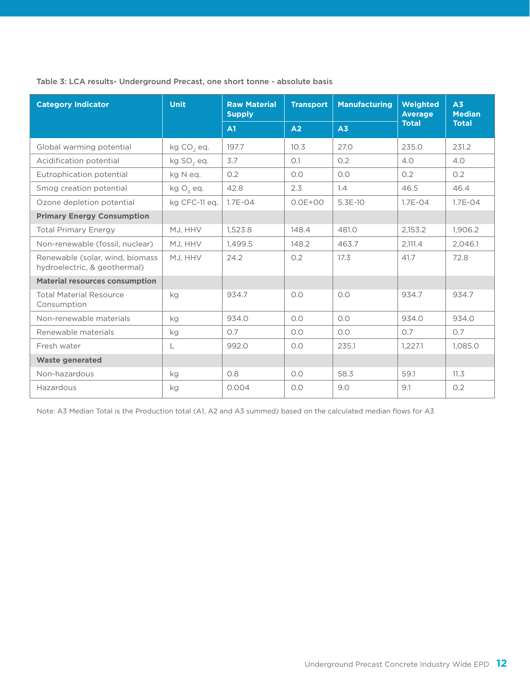### Table 3: LCA results- Underground Precast, one short tonne - absolute basis

| <b>Category Indicator</b>                                       | <b>Unit</b>            | <b>Raw Material</b><br><b>Supply</b> | <b>Transport</b> | <b>Manufacturing</b> | Weighted<br><b>Average</b> | A <sub>3</sub><br><b>Median</b> |
|-----------------------------------------------------------------|------------------------|--------------------------------------|------------------|----------------------|----------------------------|---------------------------------|
|                                                                 |                        | A1                                   | A2               | A <sub>3</sub>       | <b>Total</b>               | <b>Total</b>                    |
| Global warming potential                                        | kg CO <sub>2</sub> eq. | 197.7                                | 10.3             | 27.0                 | 235.0                      | 231.2                           |
| Acidification potential                                         | kg SO <sub>2</sub> eq. | 3.7                                  | O.1              | 0.2                  | 4.0                        | 4.0                             |
| Eutrophication potential                                        | kg N eg.               | 0.2                                  | O.O              | O.O                  | O.2                        | O.2                             |
| Smog creation potential                                         | kg $O_3$ eq.           | 42.8                                 | 2.3              | 1.4                  | 46.5                       | 46.4                            |
| Ozone depletion potential                                       | kg CFC-11 eq.          | $1.7E - 04$                          | $0.0E + 00$      | 5.3E-10              | $1.7E - 04$                | $1.7E - 04$                     |
| <b>Primary Energy Consumption</b>                               |                        |                                      |                  |                      |                            |                                 |
| <b>Total Primary Energy</b>                                     | MJ, HHV                | 1,523.8                              | 148.4            | 481.0                | 2,153.2                    | 1,906.2                         |
| Non-renewable (fossil, nuclear)                                 | MJ, HHV                | 1,499.5                              | 148.2            | 463.7                | 2,111.4                    | 2,046.1                         |
| Renewable (solar, wind, biomass<br>hydroelectric, & geothermal) | MJ, HHV                | 24.2                                 | 0.2              | 17.3                 | 41.7                       | 72.8                            |
| <b>Material resources consumption</b>                           |                        |                                      |                  |                      |                            |                                 |
| <b>Total Material Resource</b><br>Consumption                   | kg                     | 934.7                                | O.O              | O.O                  | 934.7                      | 934.7                           |
| Non-renewable materials                                         | kg                     | 934.0                                | O.O              | O.O                  | 934.0                      | 934.0                           |
| Renewable materials                                             | kg                     | 0.7                                  | O.O              | O.O                  | 0.7                        | 0.7                             |
| Fresh water                                                     | L                      | 992.0                                | O.O              | 235.1                | 1.227.1                    | 1.085.0                         |
| <b>Waste generated</b>                                          |                        |                                      |                  |                      |                            |                                 |
| Non-hazardous                                                   | kg                     | O.8                                  | O.O              | 58.3                 | 59.1                       | 11.3                            |
| Hazardous                                                       | kg                     | 0.004                                | O.O              | 9.0                  | 9.1                        | O.2                             |

Note: A3 Median Total is the Production total (A1, A2 and A3 summed) based on the calculated median flows for A3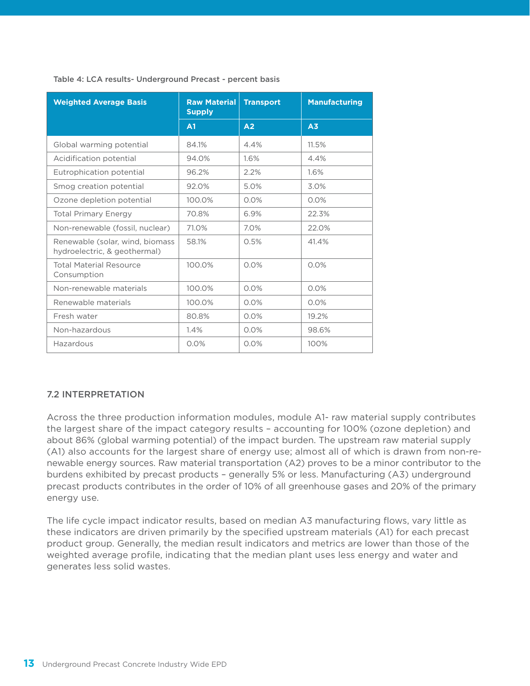| <b>Weighted Average Basis</b>                                   | <b>Raw Material</b><br><b>Supply</b> | <b>Transport</b> | <b>Manufacturing</b> |
|-----------------------------------------------------------------|--------------------------------------|------------------|----------------------|
|                                                                 | A1                                   | A <sub>2</sub>   | A <sub>3</sub>       |
| Global warming potential                                        | 84.1%                                | 4.4%             | 11.5%                |
| Acidification potential                                         | 94.0%                                | 1.6%             | 4.4%                 |
| Eutrophication potential                                        | 96.2%                                | 2.2%             | 1.6%                 |
| Smog creation potential                                         | 92.0%                                | 5.0%             | 3.0%                 |
| Ozone depletion potential                                       | 100.0%                               | 0.0%             | 0.0%                 |
| <b>Total Primary Energy</b>                                     | 70.8%                                | 6.9%             | 22.3%                |
| Non-renewable (fossil, nuclear)                                 | 71.0%                                | 7.0%             | 22.0%                |
| Renewable (solar, wind, biomass<br>hydroelectric, & geothermal) | 58.1%                                | 0.5%             | 41.4%                |
| <b>Total Material Resource</b><br>Consumption                   | 100.0%                               | 0.0%             | 0.0%                 |
| Non-renewable materials                                         | 100.0%                               | 0.0%             | 0.0%                 |
| Renewable materials                                             | 100.0%                               | 0.0%             | 0.0%                 |
| Fresh water                                                     | 80.8%                                | 0.0%             | 19.2%                |
| Non-hazardous                                                   | 1.4%                                 | 0.0%             | 98.6%                |
| Hazardous                                                       | 0.0%                                 | 0.0%             | 100%                 |

Table 4: LCA results- Underground Precast - percent basis

### 7.2 INTERPRETATION

Across the three production information modules, module A1- raw material supply contributes the largest share of the impact category results – accounting for 100% (ozone depletion) and about 86% (global warming potential) of the impact burden. The upstream raw material supply (A1) also accounts for the largest share of energy use; almost all of which is drawn from non-renewable energy sources. Raw material transportation (A2) proves to be a minor contributor to the burdens exhibited by precast products – generally 5% or less. Manufacturing (A3) underground precast products contributes in the order of 10% of all greenhouse gases and 20% of the primary energy use.

The life cycle impact indicator results, based on median A3 manufacturing flows, vary little as these indicators are driven primarily by the specified upstream materials (A1) for each precast product group. Generally, the median result indicators and metrics are lower than those of the weighted average profile, indicating that the median plant uses less energy and water and generates less solid wastes.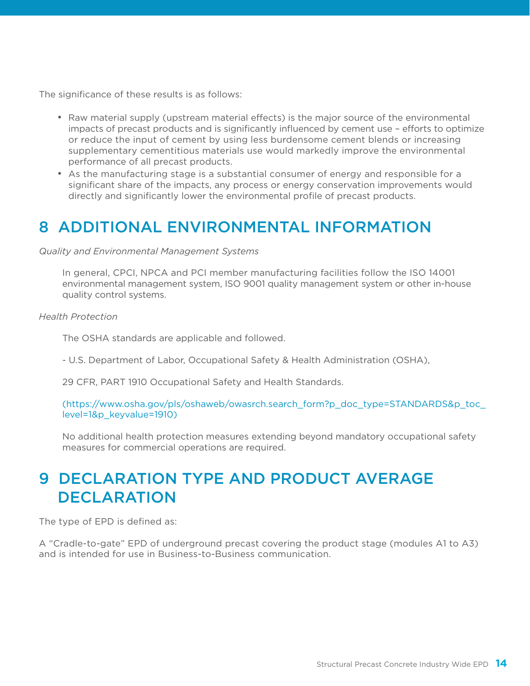The significance of these results is as follows:

- Raw material supply (upstream material effects) is the major source of the environmental impacts of precast products and is significantly influenced by cement use – efforts to optimize or reduce the input of cement by using less burdensome cement blends or increasing supplementary cementitious materials use would markedly improve the environmental performance of all precast products.
- As the manufacturing stage is a substantial consumer of energy and responsible for a significant share of the impacts, any process or energy conservation improvements would directly and significantly lower the environmental profile of precast products.

### 8 ADDITIONAL ENVIRONMENTAL INFORMATION

*Quality and Environmental Management Systems*

 In general, CPCI, NPCA and PCI member manufacturing facilities follow the ISO 14001 environmental management system, ISO 9001 quality management system or other in-house quality control systems.

*Health Protection*

The OSHA standards are applicable and followed.

- U.S. Department of Labor, Occupational Safety & Health Administration (OSHA),

29 CFR, PART 1910 Occupational Safety and Health Standards.

(https://www.osha.gov/pls/oshaweb/owasrch.search\_form?p\_doc\_type=STANDARDS&p\_toc\_ level=1&p\_keyvalue=1910)

 No additional health protection measures extending beyond mandatory occupational safety measures for commercial operations are required.

## 9 DECLARATION TYPE AND PRODUCT AVERAGE **DECLARATION**

The type of EPD is defined as:

A "Cradle-to-gate" EPD of underground precast covering the product stage (modules A1 to A3) and is intended for use in Business-to-Business communication.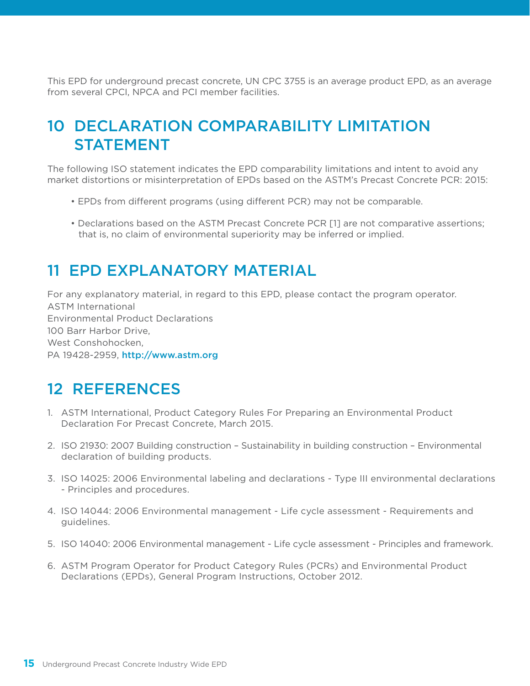This EPD for underground precast concrete, UN CPC 3755 is an average product EPD, as an average from several CPCI, NPCA and PCI member facilities.

# 10 DECLARATION COMPARABILITY LIMITATION STATEMENT

The following ISO statement indicates the EPD comparability limitations and intent to avoid any market distortions or misinterpretation of EPDs based on the ASTM's Precast Concrete PCR: 2015:

- EPDs from different programs (using different PCR) may not be comparable.
- Declarations based on the ASTM Precast Concrete PCR [1] are not comparative assertions; that is, no claim of environmental superiority may be inferred or implied.

### 11 EPD EXPLANATORY MATERIAL

For any explanatory material, in regard to this EPD, please contact the program operator. ASTM International Environmental Product Declarations 100 Barr Harbor Drive, West Conshohocken, PA 19428-2959, http://www.astm.org

### 12 REFERENCES

- 1. ASTM International, Product Category Rules For Preparing an Environmental Product Declaration For Precast Concrete, March 2015.
- 2. ISO 21930: 2007 Building construction Sustainability in building construction Environmental declaration of building products.
- 3. ISO 14025: 2006 Environmental labeling and declarations Type III environmental declarations - Principles and procedures.
- 4. ISO 14044: 2006 Environmental management Life cycle assessment Requirements and guidelines.
- 5. ISO 14040: 2006 Environmental management Life cycle assessment Principles and framework.
- 6. ASTM Program Operator for Product Category Rules (PCRs) and Environmental Product Declarations (EPDs), General Program Instructions, October 2012.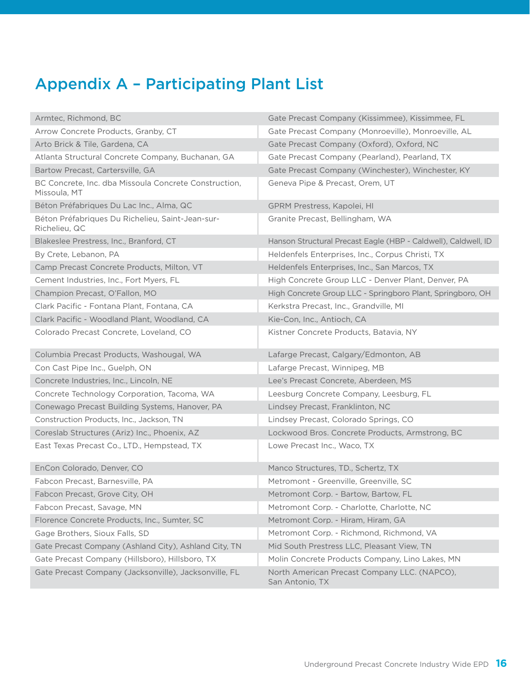# Appendix A – Participating Plant List

| Armtec, Richmond, BC                                                  | Gate Precast Company (Kissimmee), Kissimmee, FL                |
|-----------------------------------------------------------------------|----------------------------------------------------------------|
| Arrow Concrete Products, Granby, CT                                   | Gate Precast Company (Monroeville), Monroeville, AL            |
| Arto Brick & Tile, Gardena, CA                                        | Gate Precast Company (Oxford), Oxford, NC                      |
| Atlanta Structural Concrete Company, Buchanan, GA                     | Gate Precast Company (Pearland), Pearland, TX                  |
| Bartow Precast, Cartersville, GA                                      | Gate Precast Company (Winchester), Winchester, KY              |
| BC Concrete, Inc. dba Missoula Concrete Construction,<br>Missoula, MT | Geneva Pipe & Precast, Orem, UT                                |
| Béton Préfabriques Du Lac Inc., Alma, QC                              | GPRM Prestress, Kapolei, HI                                    |
| Béton Préfabriques Du Richelieu, Saint-Jean-sur-<br>Richelieu, QC     | Granite Precast, Bellingham, WA                                |
| Blakeslee Prestress, Inc., Branford, CT                               | Hanson Structural Precast Eagle (HBP - Caldwell), Caldwell, ID |
| By Crete, Lebanon, PA                                                 | Heldenfels Enterprises, Inc., Corpus Christi, TX               |
| Camp Precast Concrete Products, Milton, VT                            | Heldenfels Enterprises, Inc., San Marcos, TX                   |
| Cement Industries, Inc., Fort Myers, FL                               | High Concrete Group LLC - Denver Plant, Denver, PA             |
| Champion Precast, O'Fallon, MO                                        | High Concrete Group LLC - Springboro Plant, Springboro, OH     |
| Clark Pacific - Fontana Plant, Fontana, CA                            | Kerkstra Precast, Inc., Grandville, MI                         |
| Clark Pacific - Woodland Plant, Woodland, CA                          | Kie-Con, Inc., Antioch, CA                                     |
| Colorado Precast Concrete, Loveland, CO                               | Kistner Concrete Products, Batavia, NY                         |
|                                                                       |                                                                |
| Columbia Precast Products, Washougal, WA                              | Lafarge Precast, Calgary/Edmonton, AB                          |
| Con Cast Pipe Inc., Guelph, ON                                        | Lafarge Precast, Winnipeg, MB                                  |
| Concrete Industries, Inc., Lincoln, NE                                | Lee's Precast Concrete, Aberdeen, MS                           |
| Concrete Technology Corporation, Tacoma, WA                           | Leesburg Concrete Company, Leesburg, FL                        |
| Conewago Precast Building Systems, Hanover, PA                        | Lindsey Precast, Franklinton, NC                               |
| Construction Products, Inc., Jackson, TN                              | Lindsey Precast, Colorado Springs, CO                          |
| Coreslab Structures (Ariz) Inc., Phoenix, AZ                          | Lockwood Bros. Concrete Products, Armstrong, BC                |
| East Texas Precast Co., LTD., Hempstead, TX                           | Lowe Precast Inc., Waco, TX                                    |
| EnCon Colorado, Denver, CO                                            | Manco Structures, TD., Schertz, TX                             |
| Fabcon Precast, Barnesville, PA                                       | Metromont - Greenville, Greenville, SC                         |
| Fabcon Precast, Grove City, OH                                        | Metromont Corp. - Bartow, Bartow, FL                           |
| Fabcon Precast, Savage, MN                                            | Metromont Corp. - Charlotte, Charlotte, NC                     |
| Florence Concrete Products, Inc., Sumter, SC                          | Metromont Corp. - Hiram, Hiram, GA                             |
| Gage Brothers, Sioux Falls, SD                                        | Metromont Corp. - Richmond, Richmond, VA                       |
| Gate Precast Company (Ashland City), Ashland City, TN                 | Mid South Prestress LLC, Pleasant View, TN                     |
| Gate Precast Company (Hillsboro), Hillsboro, TX                       | Molin Concrete Products Company, Lino Lakes, MN                |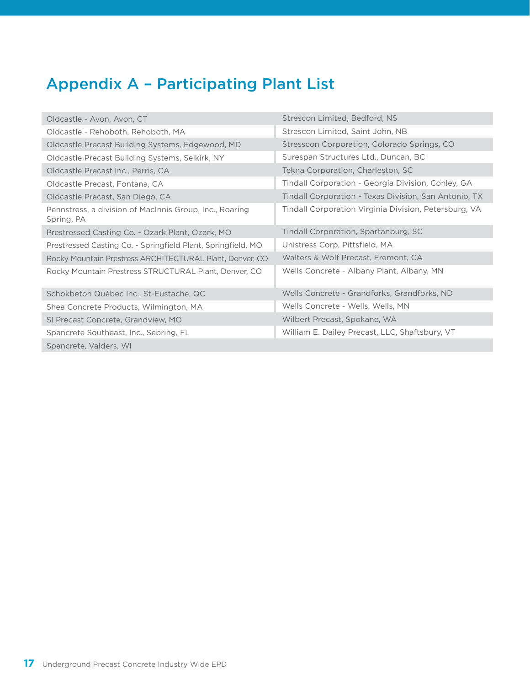# Appendix A – Participating Plant List

| Oldcastle - Avon, Avon, CT                                            | Strescon Limited, Bedford, NS                         |
|-----------------------------------------------------------------------|-------------------------------------------------------|
| Oldcastle - Rehoboth, Rehoboth, MA                                    | Strescon Limited, Saint John, NB                      |
| Oldcastle Precast Building Systems, Edgewood, MD                      | Stresscon Corporation, Colorado Springs, CO           |
| Oldcastle Precast Building Systems, Selkirk, NY                       | Surespan Structures Ltd., Duncan, BC                  |
| Oldcastle Precast Inc., Perris, CA                                    | Tekna Corporation, Charleston, SC                     |
| Oldcastle Precast, Fontana, CA                                        | Tindall Corporation - Georgia Division, Conley, GA    |
| Oldcastle Precast, San Diego, CA                                      | Tindall Corporation - Texas Division, San Antonio, TX |
| Pennstress, a division of MacInnis Group, Inc., Roaring<br>Spring, PA | Tindall Corporation Virginia Division, Petersburg, VA |
| Prestressed Casting Co. - Ozark Plant, Ozark, MO                      | Tindall Corporation, Spartanburg, SC                  |
| Prestressed Casting Co. - Springfield Plant, Springfield, MO          | Unistress Corp, Pittsfield, MA                        |
| Rocky Mountain Prestress ARCHITECTURAL Plant, Denver, CO              | Walters & Wolf Precast, Fremont, CA                   |
| Rocky Mountain Prestress STRUCTURAL Plant, Denver, CO                 | Wells Concrete - Albany Plant, Albany, MN             |
| Schokbeton Québec Inc., St-Eustache, QC                               | Wells Concrete - Grandforks, Grandforks, ND           |
| Shea Concrete Products, Wilmington, MA                                | Wells Concrete - Wells, Wells, MN                     |
| SI Precast Concrete, Grandview, MO                                    | Wilbert Precast, Spokane, WA                          |
| Spancrete Southeast, Inc., Sebring, FL                                | William E. Dailey Precast, LLC, Shaftsbury, VT        |
| Spancrete, Valders, WI                                                |                                                       |